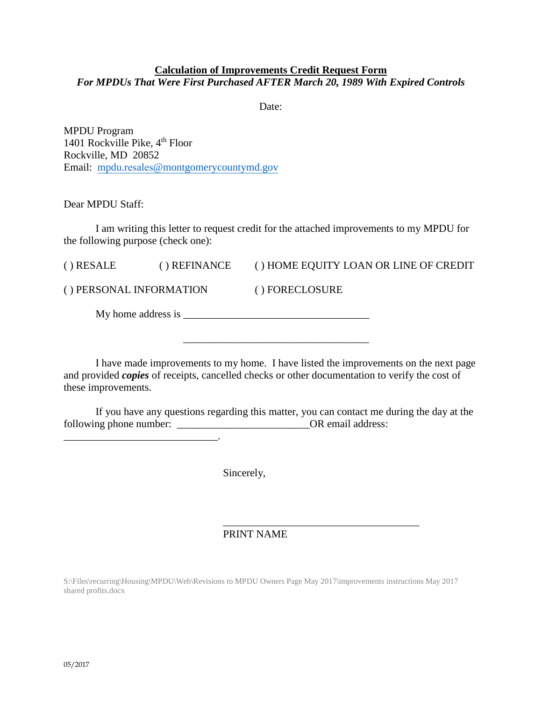## **Calculation of Improvements Credit Request Form**

*For MPDUs That Were First Purchased AFTER March 20, 1989 With Expired Controls*

Date:

MPDU Program 1401 Rockville Pike,  $4<sup>th</sup>$  Floor Rockville, MD 20852 Email: mpdu.resales[@montgomerycountymd.gov](mailto:mpdu.intake@montgomerycountymd.gov)

\_\_\_\_\_\_\_\_\_\_\_\_\_\_\_\_\_\_\_\_\_\_\_\_\_\_\_\_\_.

Dear MPDU Staff:

I am writing this letter to request credit for the attached improvements to my MPDU for the following purpose (check one):

| $()$ RESALE             | () REFINANCE | () HOME EQUITY LOAN OR LINE OF CREDIT |  |
|-------------------------|--------------|---------------------------------------|--|
| () PERSONAL INFORMATION |              | () FORECLOSURE                        |  |
| My home address is      |              |                                       |  |

I have made improvements to my home. I have listed the improvements on the next page and provided *copies* of receipts, cancelled checks or other documentation to verify the cost of these improvements.

\_\_\_\_\_\_\_\_\_\_\_\_\_\_\_\_\_\_\_\_\_\_\_\_\_\_\_\_\_\_\_\_\_\_\_

If you have any questions regarding this matter, you can contact me during the day at the following phone number: \_\_\_\_\_\_\_\_\_\_\_\_\_\_\_\_\_\_\_\_\_\_\_\_\_\_\_\_\_\_\_\_\_\_OR email address:

Sincerely,

### \_\_\_\_\_\_\_\_\_\_\_\_\_\_\_\_\_\_\_\_\_\_\_\_\_\_\_\_\_\_\_\_\_\_\_\_\_ PRINT NAME

S:\Files\recurring\Housing\MPDU\Web\Revisions to MPDU Owners Page May 2017\improvements instructions May 2017 shared profits.docx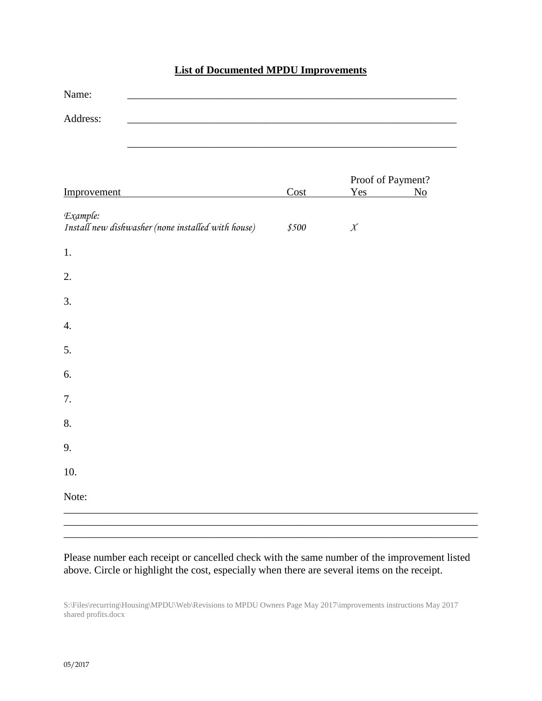## **List of Documented MPDU Improvements**

| Cost  | Yes              | Proof of Payment?<br>N <sub>0</sub> |
|-------|------------------|-------------------------------------|
| \$500 | $\boldsymbol{X}$ |                                     |
|       |                  |                                     |
|       |                  |                                     |
|       |                  |                                     |
|       |                  |                                     |
|       |                  |                                     |
|       |                  |                                     |
|       |                  |                                     |
|       |                  |                                     |
|       |                  |                                     |
|       |                  |                                     |
|       |                  |                                     |
|       |                  |                                     |

## Please number each receipt or cancelled check with the same number of the improvement listed above. Circle or highlight the cost, especially when there are several items on the receipt.

\_\_\_\_\_\_\_\_\_\_\_\_\_\_\_\_\_\_\_\_\_\_\_\_\_\_\_\_\_\_\_\_\_\_\_\_\_\_\_\_\_\_\_\_\_\_\_\_\_\_\_\_\_\_\_\_\_\_\_\_\_\_\_\_\_\_\_\_\_\_\_\_\_\_\_\_\_\_

S:\Files\recurring\Housing\MPDU\Web\Revisions to MPDU Owners Page May 2017\improvements instructions May 2017 shared profits.docx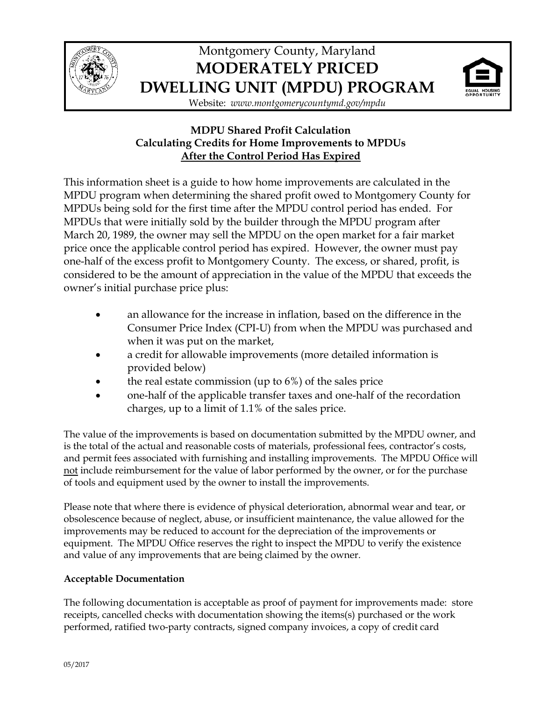

# Montgomery County, Maryland **MODERATELY PRICED DWELLING UNIT (MPDU) PROGRAM**



Website: *www.montgomerycountymd.gov/mpdu*

## **MDPU Shared Profit Calculation Calculating Credits for Home Improvements to MPDUs After the Control Period Has Expired**

This information sheet is a guide to how home improvements are calculated in the MPDU program when determining the shared profit owed to Montgomery County for MPDUs being sold for the first time after the MPDU control period has ended. For MPDUs that were initially sold by the builder through the MPDU program after March 20, 1989, the owner may sell the MPDU on the open market for a fair market price once the applicable control period has expired. However, the owner must pay one-half of the excess profit to Montgomery County. The excess, or shared, profit, is considered to be the amount of appreciation in the value of the MPDU that exceeds the owner's initial purchase price plus:

- an allowance for the increase in inflation, based on the difference in the Consumer Price Index (CPI-U) from when the MPDU was purchased and when it was put on the market,
- a credit for allowable improvements (more detailed information is provided below)
- the real estate commission (up to  $6\%$ ) of the sales price
- one-half of the applicable transfer taxes and one-half of the recordation charges, up to a limit of 1.1% of the sales price.

The value of the improvements is based on documentation submitted by the MPDU owner, and is the total of the actual and reasonable costs of materials, professional fees, contractor's costs, and permit fees associated with furnishing and installing improvements. The MPDU Office will not include reimbursement for the value of labor performed by the owner, or for the purchase of tools and equipment used by the owner to install the improvements.

Please note that where there is evidence of physical deterioration, abnormal wear and tear, or obsolescence because of neglect, abuse, or insufficient maintenance, the value allowed for the improvements may be reduced to account for the depreciation of the improvements or equipment. The MPDU Office reserves the right to inspect the MPDU to verify the existence and value of any improvements that are being claimed by the owner.

## **Acceptable Documentation**

The following documentation is acceptable as proof of payment for improvements made: store receipts, cancelled checks with documentation showing the items(s) purchased or the work performed, ratified two-party contracts, signed company invoices, a copy of credit card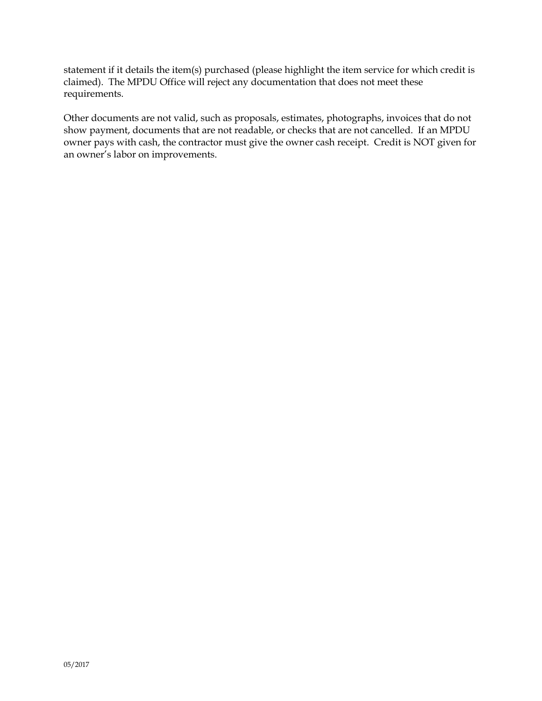statement if it details the item(s) purchased (please highlight the item service for which credit is claimed). The MPDU Office will reject any documentation that does not meet these requirements.

Other documents are not valid, such as proposals, estimates, photographs, invoices that do not show payment, documents that are not readable, or checks that are not cancelled. If an MPDU owner pays with cash, the contractor must give the owner cash receipt. Credit is NOT given for an owner's labor on improvements.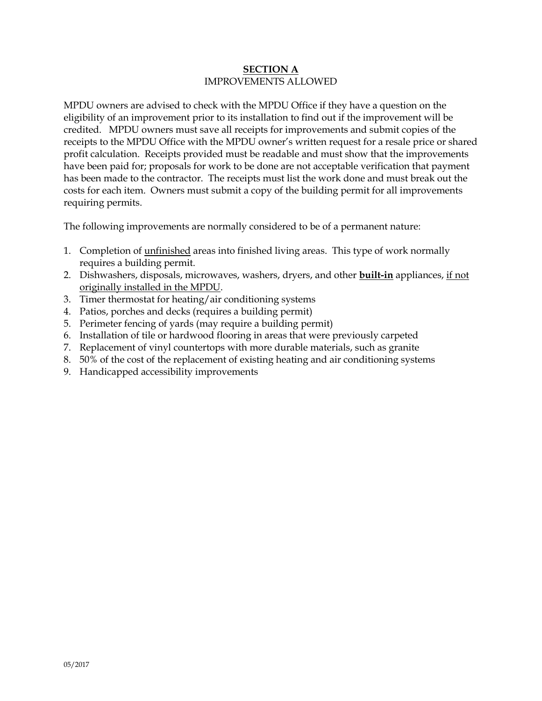## **SECTION A** IMPROVEMENTS ALLOWED

MPDU owners are advised to check with the MPDU Office if they have a question on the eligibility of an improvement prior to its installation to find out if the improvement will be credited. MPDU owners must save all receipts for improvements and submit copies of the receipts to the MPDU Office with the MPDU owner's written request for a resale price or shared profit calculation. Receipts provided must be readable and must show that the improvements have been paid for; proposals for work to be done are not acceptable verification that payment has been made to the contractor. The receipts must list the work done and must break out the costs for each item. Owners must submit a copy of the building permit for all improvements requiring permits.

The following improvements are normally considered to be of a permanent nature:

- 1. Completion of unfinished areas into finished living areas. This type of work normally requires a building permit.
- 2. Dishwashers, disposals, microwaves, washers, dryers, and other **built-in** appliances, if not originally installed in the MPDU.
- 3. Timer thermostat for heating/air conditioning systems
- 4. Patios, porches and decks (requires a building permit)
- 5. Perimeter fencing of yards (may require a building permit)
- 6. Installation of tile or hardwood flooring in areas that were previously carpeted
- 7. Replacement of vinyl countertops with more durable materials, such as granite
- 8. 50% of the cost of the replacement of existing heating and air conditioning systems
- 9. Handicapped accessibility improvements